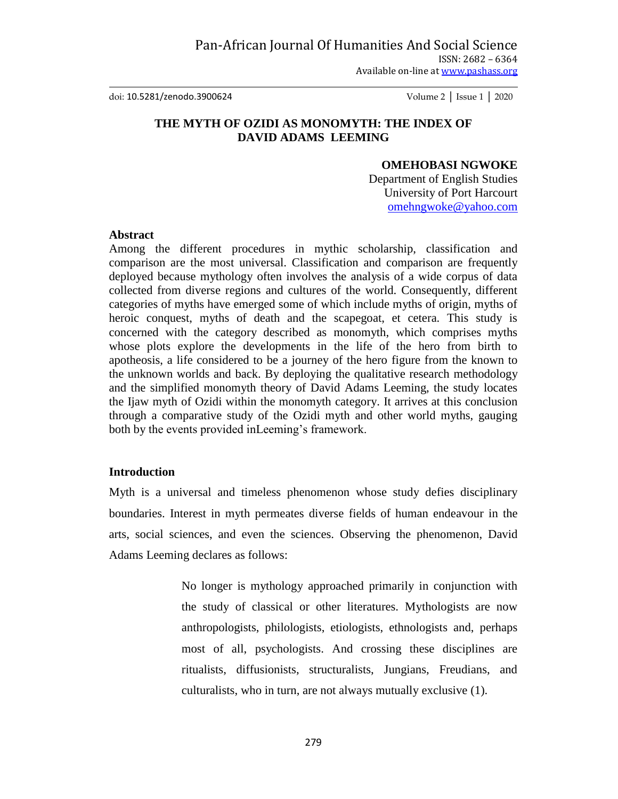doi: 10.5281/zenodo.3900624 Volume 2 │ Issue 1 │ 2020

# **THE MYTH OF OZIDI AS MONOMYTH: THE INDEX OF DAVID ADAMS LEEMING**

## **OMEHOBASI NGWOKE**

Department of English Studies University of Port Harcourt [omehngwoke@yahoo.com](mailto:omehngwoke@yahoo.com)

### **Abstract**

Among the different procedures in mythic scholarship, classification and comparison are the most universal. Classification and comparison are frequently deployed because mythology often involves the analysis of a wide corpus of data collected from diverse regions and cultures of the world. Consequently, different categories of myths have emerged some of which include myths of origin, myths of heroic conquest, myths of death and the scapegoat, et cetera. This study is concerned with the category described as monomyth, which comprises myths whose plots explore the developments in the life of the hero from birth to apotheosis, a life considered to be a journey of the hero figure from the known to the unknown worlds and back. By deploying the qualitative research methodology and the simplified monomyth theory of David Adams Leeming, the study locates the Ijaw myth of Ozidi within the monomyth category. It arrives at this conclusion through a comparative study of the Ozidi myth and other world myths, gauging both by the events provided inLeeming's framework.

### **Introduction**

Myth is a universal and timeless phenomenon whose study defies disciplinary boundaries. Interest in myth permeates diverse fields of human endeavour in the arts, social sciences, and even the sciences. Observing the phenomenon, David Adams Leeming declares as follows:

> No longer is mythology approached primarily in conjunction with the study of classical or other literatures. Mythologists are now anthropologists, philologists, etiologists, ethnologists and, perhaps most of all, psychologists. And crossing these disciplines are ritualists, diffusionists, structuralists, Jungians, Freudians, and culturalists, who in turn, are not always mutually exclusive (1).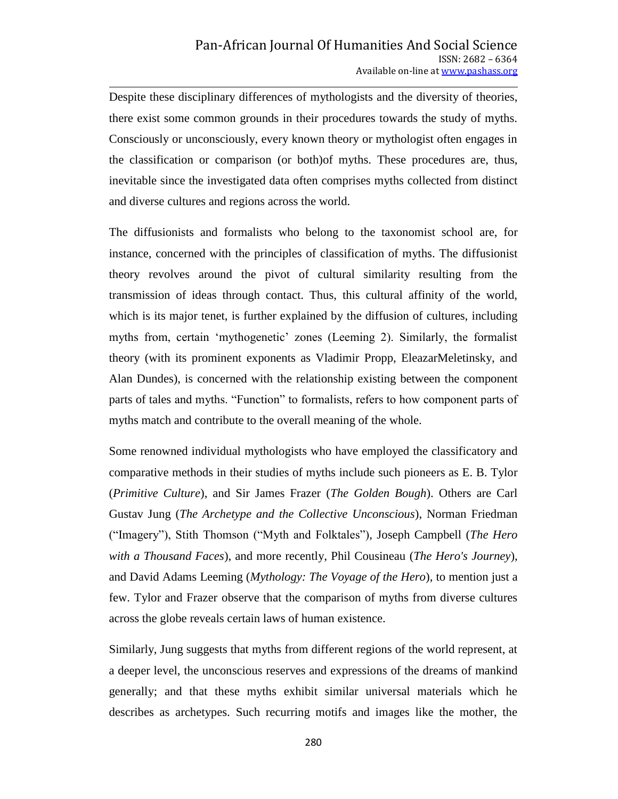Despite these disciplinary differences of mythologists and the diversity of theories, there exist some common grounds in their procedures towards the study of myths. Consciously or unconsciously, every known theory or mythologist often engages in the classification or comparison (or both)of myths. These procedures are, thus, inevitable since the investigated data often comprises myths collected from distinct and diverse cultures and regions across the world.

The diffusionists and formalists who belong to the taxonomist school are, for instance, concerned with the principles of classification of myths. The diffusionist theory revolves around the pivot of cultural similarity resulting from the transmission of ideas through contact. Thus, this cultural affinity of the world, which is its major tenet, is further explained by the diffusion of cultures, including myths from, certain 'mythogenetic' zones (Leeming 2). Similarly, the formalist theory (with its prominent exponents as Vladimir Propp, EleazarMeletinsky, and Alan Dundes), is concerned with the relationship existing between the component parts of tales and myths. "Function" to formalists, refers to how component parts of myths match and contribute to the overall meaning of the whole.

Some renowned individual mythologists who have employed the classificatory and comparative methods in their studies of myths include such pioneers as E. B. Tylor (*Primitive Culture*), and Sir James Frazer (*The Golden Bough*). Others are Carl Gustav Jung (*The Archetype and the Collective Unconscious*), Norman Friedman ("Imagery"), Stith Thomson ("Myth and Folktales"), Joseph Campbell (*The Hero with a Thousand Faces*), and more recently, Phil Cousineau (*The Hero's Journey*), and David Adams Leeming (*Mythology: The Voyage of the Hero*), to mention just a few. Tylor and Frazer observe that the comparison of myths from diverse cultures across the globe reveals certain laws of human existence.

Similarly, Jung suggests that myths from different regions of the world represent, at a deeper level, the unconscious reserves and expressions of the dreams of mankind generally; and that these myths exhibit similar universal materials which he describes as archetypes. Such recurring motifs and images like the mother, the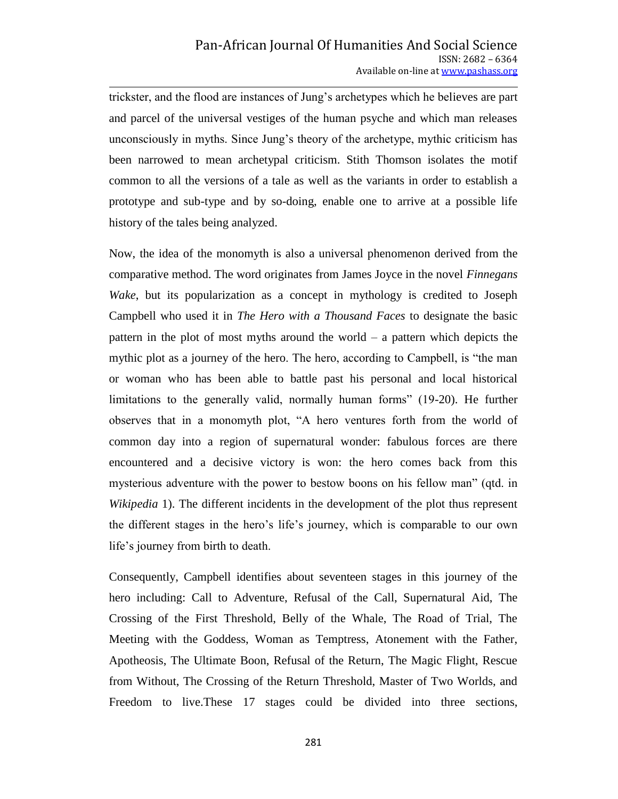trickster, and the flood are instances of Jung's archetypes which he believes are part and parcel of the universal vestiges of the human psyche and which man releases unconsciously in myths. Since Jung's theory of the archetype, mythic criticism has been narrowed to mean archetypal criticism. Stith Thomson isolates the motif common to all the versions of a tale as well as the variants in order to establish a prototype and sub-type and by so-doing, enable one to arrive at a possible life history of the tales being analyzed.

Now, the idea of the monomyth is also a universal phenomenon derived from the comparative method. The word originates from James Joyce in the novel *Finnegans Wake*, but its popularization as a concept in mythology is credited to Joseph Campbell who used it in *The Hero with a Thousand Faces* to designate the basic pattern in the plot of most myths around the world – a pattern which depicts the mythic plot as a journey of the hero. The hero, according to Campbell, is "the man or woman who has been able to battle past his personal and local historical limitations to the generally valid, normally human forms" (19-20). He further observes that in a monomyth plot, "A hero ventures forth from the world of common day into a region of supernatural wonder: fabulous forces are there encountered and a decisive victory is won: the hero comes back from this mysterious adventure with the power to bestow boons on his fellow man" (qtd. in *Wikipedia* 1). The different incidents in the development of the plot thus represent the different stages in the hero's life's journey, which is comparable to our own life's journey from birth to death.

Consequently, Campbell identifies about seventeen stages in this journey of the hero including: Call to Adventure, Refusal of the Call, Supernatural Aid, The Crossing of the First Threshold, Belly of the Whale, The Road of Trial, The Meeting with the Goddess, Woman as Temptress, Atonement with the Father, Apotheosis, The Ultimate Boon, Refusal of the Return, The Magic Flight, Rescue from Without, The Crossing of the Return Threshold, Master of Two Worlds, and Freedom to live.These 17 stages could be divided into three sections,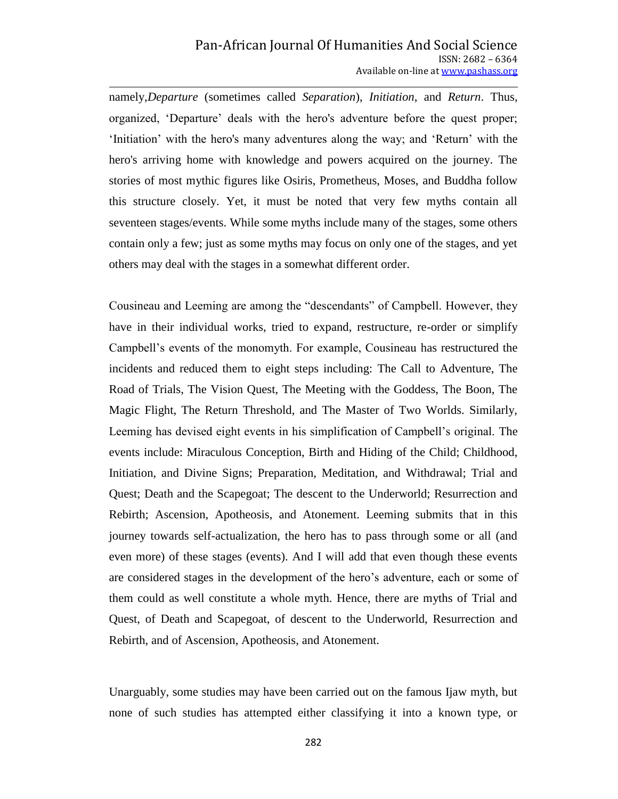namely,*Departure* (sometimes called *Separation*), *Initiation*, and *Return*. Thus, organized, ‗Departure' deals with the hero's adventure before the quest proper; 'Initiation' with the hero's many adventures along the way; and 'Return' with the hero's arriving home with knowledge and powers acquired on the journey. The stories of most mythic figures like Osiris, Prometheus, Moses, and Buddha follow this structure closely. Yet, it must be noted that very few myths contain all seventeen stages/events. While some myths include many of the stages, some others contain only a few; just as some myths may focus on only one of the stages, and yet others may deal with the stages in a somewhat different order.

Cousineau and Leeming are among the "descendants" of Campbell. However, they have in their individual works, tried to expand, restructure, re-order or simplify Campbell's events of the monomyth. For example, Cousineau has restructured the incidents and reduced them to eight steps including: The Call to Adventure, The Road of Trials, The Vision Quest, The Meeting with the Goddess, The Boon, The Magic Flight, The Return Threshold, and The Master of Two Worlds. Similarly, Leeming has devised eight events in his simplification of Campbell's original. The events include: Miraculous Conception, Birth and Hiding of the Child; Childhood, Initiation, and Divine Signs; Preparation, Meditation, and Withdrawal; Trial and Quest; Death and the Scapegoat; The descent to the Underworld; Resurrection and Rebirth; Ascension, Apotheosis, and Atonement. Leeming submits that in this journey towards self-actualization, the hero has to pass through some or all (and even more) of these stages (events). And I will add that even though these events are considered stages in the development of the hero's adventure, each or some of them could as well constitute a whole myth. Hence, there are myths of Trial and Quest, of Death and Scapegoat, of descent to the Underworld, Resurrection and Rebirth, and of Ascension, Apotheosis, and Atonement.

Unarguably, some studies may have been carried out on the famous Ijaw myth, but none of such studies has attempted either classifying it into a known type, or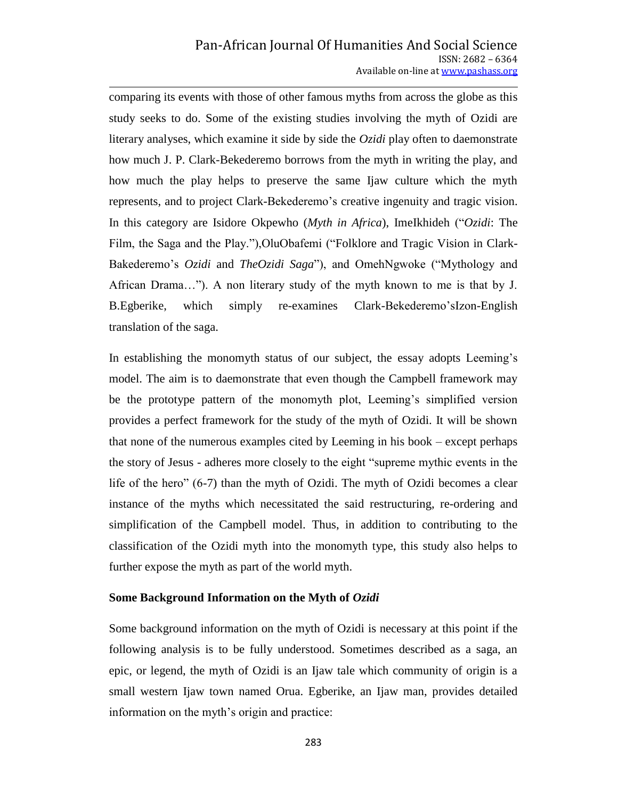comparing its events with those of other famous myths from across the globe as this study seeks to do. Some of the existing studies involving the myth of Ozidi are literary analyses, which examine it side by side the *Ozidi* play often to daemonstrate how much J. P. Clark-Bekederemo borrows from the myth in writing the play, and how much the play helps to preserve the same Ijaw culture which the myth represents, and to project Clark-Bekederemo's creative ingenuity and tragic vision. In this category are Isidore Okpewho (*Myth in Africa*), ImeIkhideh ("*Ozidi*: The Film, the Saga and the Play."), OluObafemi ("Folklore and Tragic Vision in Clark-Bakederemo's *Ozidi* and *TheOzidi Saga*"), and OmehNgwoke ("Mythology and African Drama..."). A non literary study of the myth known to me is that by J. B.Egberike, which simply re-examines Clark-Bekederemo'sIzon-English translation of the saga.

In establishing the monomyth status of our subject, the essay adopts Leeming's model. The aim is to daemonstrate that even though the Campbell framework may be the prototype pattern of the monomyth plot, Leeming's simplified version provides a perfect framework for the study of the myth of Ozidi. It will be shown that none of the numerous examples cited by Leeming in his book – except perhaps the story of Jesus - adheres more closely to the eight "supreme mythic events in the life of the hero"  $(6-7)$  than the myth of Ozidi. The myth of Ozidi becomes a clear instance of the myths which necessitated the said restructuring, re-ordering and simplification of the Campbell model. Thus, in addition to contributing to the classification of the Ozidi myth into the monomyth type, this study also helps to further expose the myth as part of the world myth.

#### **Some Background Information on the Myth of** *Ozidi*

Some background information on the myth of Ozidi is necessary at this point if the following analysis is to be fully understood. Sometimes described as a saga, an epic, or legend, the myth of Ozidi is an Ijaw tale which community of origin is a small western Ijaw town named Orua. Egberike, an Ijaw man, provides detailed information on the myth's origin and practice: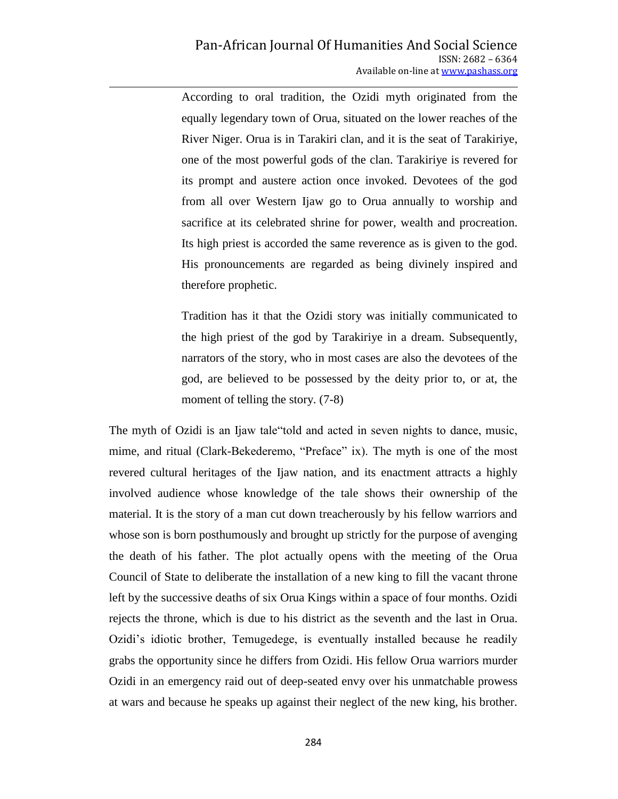According to oral tradition, the Ozidi myth originated from the equally legendary town of Orua, situated on the lower reaches of the River Niger. Orua is in Tarakiri clan, and it is the seat of Tarakiriye, one of the most powerful gods of the clan. Tarakiriye is revered for its prompt and austere action once invoked. Devotees of the god from all over Western Ijaw go to Orua annually to worship and sacrifice at its celebrated shrine for power, wealth and procreation. Its high priest is accorded the same reverence as is given to the god. His pronouncements are regarded as being divinely inspired and therefore prophetic.

Tradition has it that the Ozidi story was initially communicated to the high priest of the god by Tarakiriye in a dream. Subsequently, narrators of the story, who in most cases are also the devotees of the god, are believed to be possessed by the deity prior to, or at, the moment of telling the story. (7-8)

The myth of Ozidi is an Ijaw tale told and acted in seven nights to dance, music, mime, and ritual (Clark-Bekederemo, "Preface" ix). The myth is one of the most revered cultural heritages of the Ijaw nation, and its enactment attracts a highly involved audience whose knowledge of the tale shows their ownership of the material. It is the story of a man cut down treacherously by his fellow warriors and whose son is born posthumously and brought up strictly for the purpose of avenging the death of his father. The plot actually opens with the meeting of the Orua Council of State to deliberate the installation of a new king to fill the vacant throne left by the successive deaths of six Orua Kings within a space of four months. Ozidi rejects the throne, which is due to his district as the seventh and the last in Orua. Ozidi's idiotic brother, Temugedege, is eventually installed because he readily grabs the opportunity since he differs from Ozidi. His fellow Orua warriors murder Ozidi in an emergency raid out of deep-seated envy over his unmatchable prowess at wars and because he speaks up against their neglect of the new king, his brother.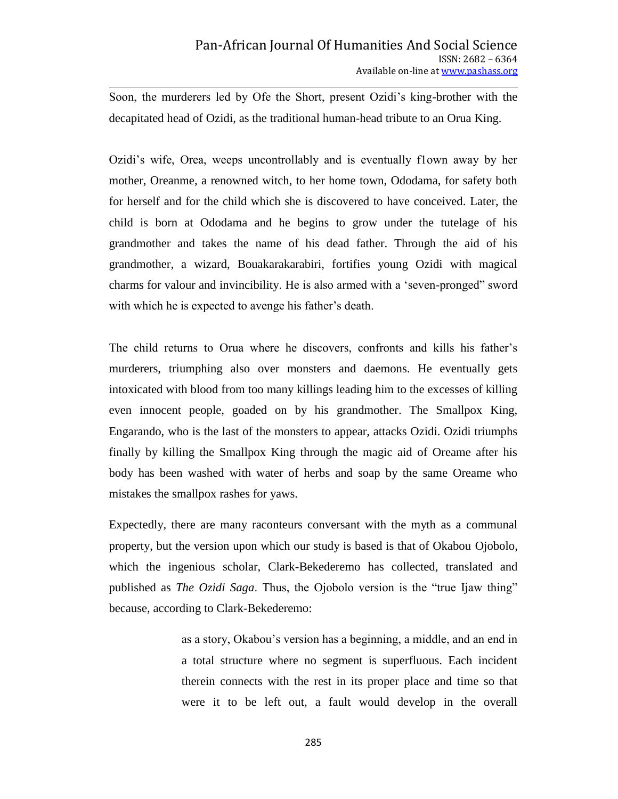Soon, the murderers led by Ofe the Short, present Ozidi's king-brother with the decapitated head of Ozidi, as the traditional human-head tribute to an Orua King.

Ozidi's wife, Orea, weeps uncontrollably and is eventually f1own away by her mother, Oreanme, a renowned witch, to her home town, Ododama, for safety both for herself and for the child which she is discovered to have conceived. Later, the child is born at Ododama and he begins to grow under the tutelage of his grandmother and takes the name of his dead father. Through the aid of his grandmother, a wizard, Bouakarakarabiri, fortifies young Ozidi with magical charms for valour and invincibility. He is also armed with a 'seven-pronged" sword with which he is expected to avenge his father's death.

The child returns to Orua where he discovers, confronts and kills his father's murderers, triumphing also over monsters and daemons. He eventually gets intoxicated with blood from too many killings leading him to the excesses of killing even innocent people, goaded on by his grandmother. The Smallpox King, Engarando, who is the last of the monsters to appear, attacks Ozidi. Ozidi triumphs finally by killing the Smallpox King through the magic aid of Oreame after his body has been washed with water of herbs and soap by the same Oreame who mistakes the smallpox rashes for yaws.

Expectedly, there are many raconteurs conversant with the myth as a communal property, but the version upon which our study is based is that of Okabou Ojobolo, which the ingenious scholar, Clark-Bekederemo has collected, translated and published as *The Ozidi Saga*. Thus, the Ojobolo version is the "true Ijaw thing" because, according to Clark-Bekederemo:

> as a story, Okabou's version has a beginning, a middle, and an end in a total structure where no segment is superfluous. Each incident therein connects with the rest in its proper place and time so that were it to be left out, a fault would develop in the overall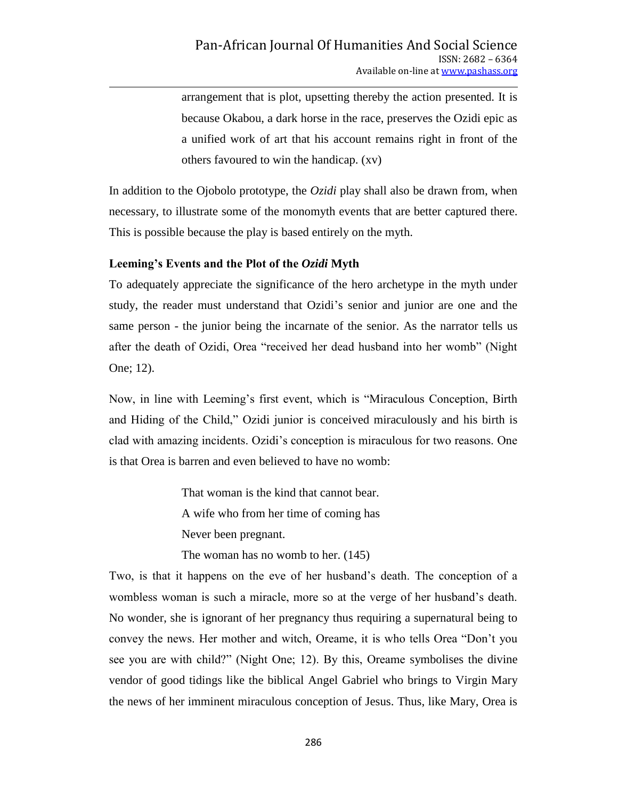arrangement that is plot, upsetting thereby the action presented. It is because Okabou, a dark horse in the race, preserves the Ozidi epic as a unified work of art that his account remains right in front of the others favoured to win the handicap. (xv)

In addition to the Ojobolo prototype, the *Ozidi* play shall also be drawn from, when necessary, to illustrate some of the monomyth events that are better captured there. This is possible because the play is based entirely on the myth.

### **Leeming's Events and the Plot of the** *Ozidi* **Myth**

To adequately appreciate the significance of the hero archetype in the myth under study, the reader must understand that Ozidi's senior and junior are one and the same person - the junior being the incarnate of the senior. As the narrator tells us after the death of Ozidi, Orea "received her dead husband into her womb" (Night One; 12).

Now, in line with Leeming's first event, which is "Miraculous Conception, Birth and Hiding of the Child," Ozidi junior is conceived miraculously and his birth is clad with amazing incidents. Ozidi's conception is miraculous for two reasons. One is that Orea is barren and even believed to have no womb:

> That woman is the kind that cannot bear. A wife who from her time of coming has Never been pregnant.

The woman has no womb to her. (145)

Two, is that it happens on the eve of her husband's death. The conception of a wombless woman is such a miracle, more so at the verge of her husband's death. No wonder, she is ignorant of her pregnancy thus requiring a supernatural being to convey the news. Her mother and witch, Oreame, it is who tells Orea "Don't you see you are with child?" (Night One; 12). By this, Oreame symbolises the divine vendor of good tidings like the biblical Angel Gabriel who brings to Virgin Mary the news of her imminent miraculous conception of Jesus. Thus, like Mary, Orea is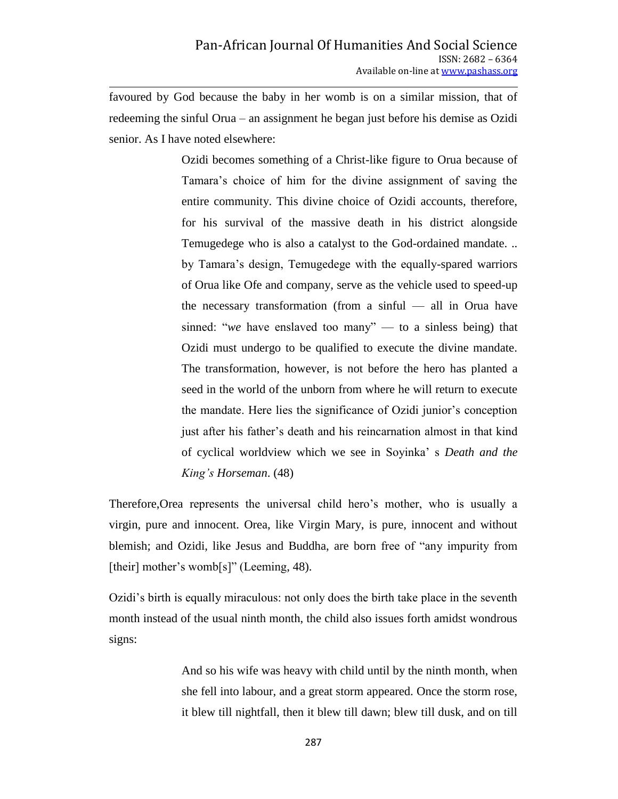favoured by God because the baby in her womb is on a similar mission, that of redeeming the sinful Orua – an assignment he began just before his demise as Ozidi senior. As I have noted elsewhere:

> Ozidi becomes something of a Christ-like figure to Orua because of Tamara's choice of him for the divine assignment of saving the entire community. This divine choice of Ozidi accounts, therefore, for his survival of the massive death in his district alongside Temugedege who is also a catalyst to the God-ordained mandate. .. by Tamara's design, Temugedege with the equally-spared warriors of Orua like Ofe and company, serve as the vehicle used to speed-up the necessary transformation (from a sinful — all in Orua have sinned: "we have enslaved too many" — to a sinless being) that Ozidi must undergo to be qualified to execute the divine mandate. The transformation, however, is not before the hero has planted a seed in the world of the unborn from where he will return to execute the mandate. Here lies the significance of Ozidi junior's conception just after his father's death and his reincarnation almost in that kind of cyclical worldview which we see in Soyinka' s *Death and the King's Horseman*. (48)

Therefore,Orea represents the universal child hero's mother, who is usually a virgin, pure and innocent. Orea, like Virgin Mary, is pure, innocent and without blemish; and Ozidi, like Jesus and Buddha, are born free of "any impurity from [their] mother's womb[s]" (Leeming, 48).

Ozidi's birth is equally miraculous: not only does the birth take place in the seventh month instead of the usual ninth month, the child also issues forth amidst wondrous signs:

> And so his wife was heavy with child until by the ninth month, when she fell into labour, and a great storm appeared. Once the storm rose, it blew till nightfall, then it blew till dawn; blew till dusk, and on till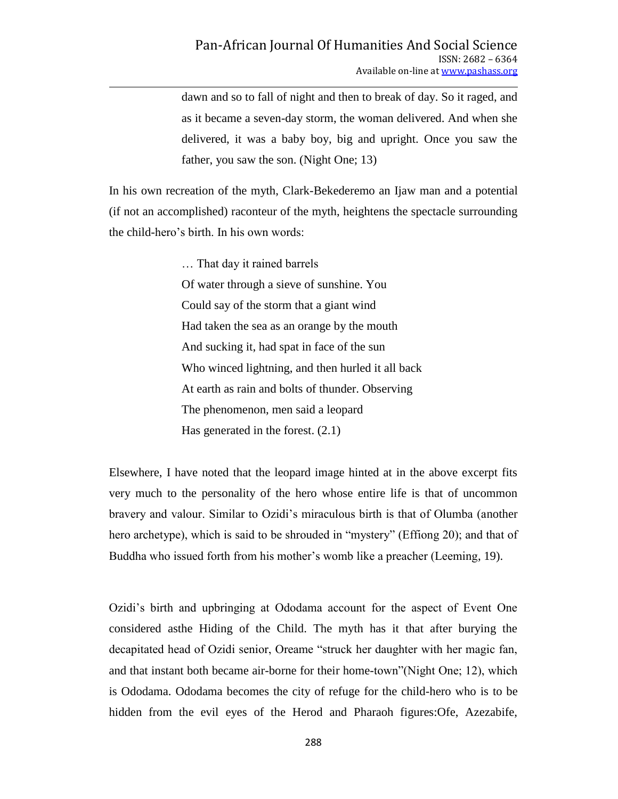dawn and so to fall of night and then to break of day. So it raged, and as it became a seven-day storm, the woman delivered. And when she delivered, it was a baby boy, big and upright. Once you saw the father, you saw the son. (Night One; 13)

In his own recreation of the myth, Clark-Bekederemo an Ijaw man and a potential (if not an accomplished) raconteur of the myth, heightens the spectacle surrounding the child-hero's birth. In his own words:

> … That day it rained barrels Of water through a sieve of sunshine. You Could say of the storm that a giant wind Had taken the sea as an orange by the mouth And sucking it, had spat in face of the sun Who winced lightning, and then hurled it all back At earth as rain and bolts of thunder. Observing The phenomenon, men said a leopard Has generated in the forest. (2.1)

Elsewhere, I have noted that the leopard image hinted at in the above excerpt fits very much to the personality of the hero whose entire life is that of uncommon bravery and valour. Similar to Ozidi's miraculous birth is that of Olumba (another hero archetype), which is said to be shrouded in "mystery" (Effiong 20); and that of Buddha who issued forth from his mother's womb like a preacher (Leeming, 19).

Ozidi's birth and upbringing at Ododama account for the aspect of Event One considered asthe Hiding of the Child. The myth has it that after burying the decapitated head of Ozidi senior, Oreame "struck her daughter with her magic fan, and that instant both became air-borne for their home-town"(Night One; 12), which is Ododama. Ododama becomes the city of refuge for the child-hero who is to be hidden from the evil eyes of the Herod and Pharaoh figures:Ofe, Azezabife,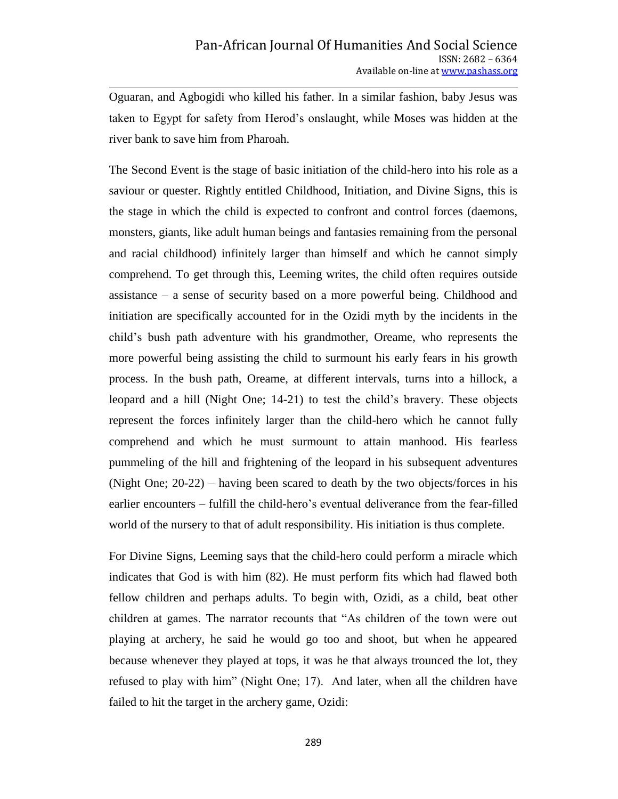Oguaran, and Agbogidi who killed his father. In a similar fashion, baby Jesus was taken to Egypt for safety from Herod's onslaught, while Moses was hidden at the river bank to save him from Pharoah.

The Second Event is the stage of basic initiation of the child-hero into his role as a saviour or quester. Rightly entitled Childhood, Initiation, and Divine Signs, this is the stage in which the child is expected to confront and control forces (daemons, monsters, giants, like adult human beings and fantasies remaining from the personal and racial childhood) infinitely larger than himself and which he cannot simply comprehend. To get through this, Leeming writes, the child often requires outside assistance – a sense of security based on a more powerful being. Childhood and initiation are specifically accounted for in the Ozidi myth by the incidents in the child's bush path adventure with his grandmother, Oreame, who represents the more powerful being assisting the child to surmount his early fears in his growth process. In the bush path, Oreame, at different intervals, turns into a hillock, a leopard and a hill (Night One; 14-21) to test the child's bravery. These objects represent the forces infinitely larger than the child-hero which he cannot fully comprehend and which he must surmount to attain manhood. His fearless pummeling of the hill and frightening of the leopard in his subsequent adventures (Night One; 20-22) – having been scared to death by the two objects/forces in his earlier encounters – fulfill the child-hero's eventual deliverance from the fear-filled world of the nursery to that of adult responsibility. His initiation is thus complete.

For Divine Signs, Leeming says that the child-hero could perform a miracle which indicates that God is with him (82). He must perform fits which had flawed both fellow children and perhaps adults. To begin with, Ozidi, as a child, beat other children at games. The narrator recounts that "As children of the town were out playing at archery, he said he would go too and shoot, but when he appeared because whenever they played at tops, it was he that always trounced the lot, they refused to play with him" (Night One; 17). And later, when all the children have failed to hit the target in the archery game, Ozidi: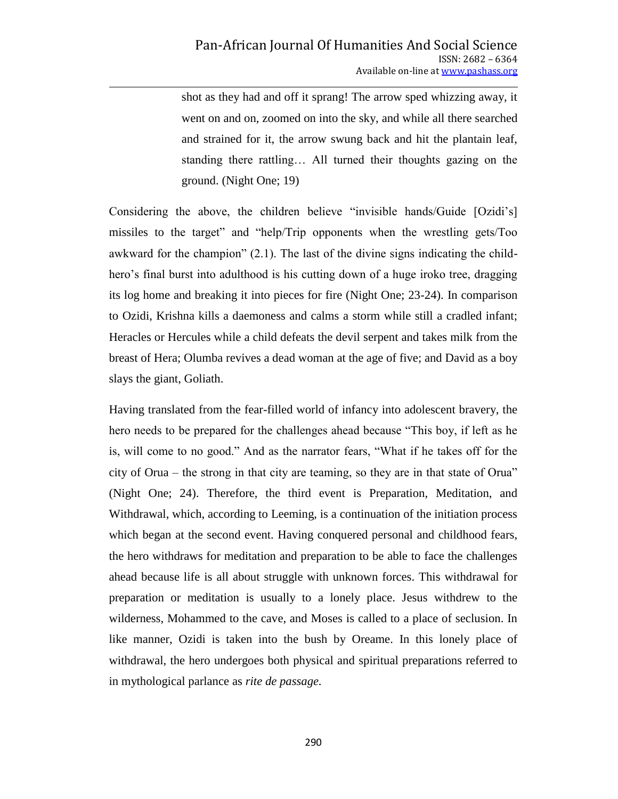shot as they had and off it sprang! The arrow sped whizzing away, it went on and on, zoomed on into the sky, and while all there searched and strained for it, the arrow swung back and hit the plantain leaf, standing there rattling… All turned their thoughts gazing on the ground. (Night One; 19)

Considering the above, the children believe "invisible hands/Guide [Ozidi's] missiles to the target" and "help/Trip opponents when the wrestling gets/Too awkward for the champion"  $(2.1)$ . The last of the divine signs indicating the childhero's final burst into adulthood is his cutting down of a huge iroko tree, dragging its log home and breaking it into pieces for fire (Night One; 23-24). In comparison to Ozidi, Krishna kills a daemoness and calms a storm while still a cradled infant; Heracles or Hercules while a child defeats the devil serpent and takes milk from the breast of Hera; Olumba revives a dead woman at the age of five; and David as a boy slays the giant, Goliath.

Having translated from the fear-filled world of infancy into adolescent bravery, the hero needs to be prepared for the challenges ahead because "This boy, if left as he is, will come to no good." And as the narrator fears, "What if he takes off for the city of Orua – the strong in that city are teaming, so they are in that state of Orua" (Night One; 24). Therefore, the third event is Preparation, Meditation, and Withdrawal, which, according to Leeming, is a continuation of the initiation process which began at the second event. Having conquered personal and childhood fears, the hero withdraws for meditation and preparation to be able to face the challenges ahead because life is all about struggle with unknown forces. This withdrawal for preparation or meditation is usually to a lonely place. Jesus withdrew to the wilderness, Mohammed to the cave, and Moses is called to a place of seclusion. In like manner, Ozidi is taken into the bush by Oreame. In this lonely place of withdrawal, the hero undergoes both physical and spiritual preparations referred to in mythological parlance as *rite de passage.*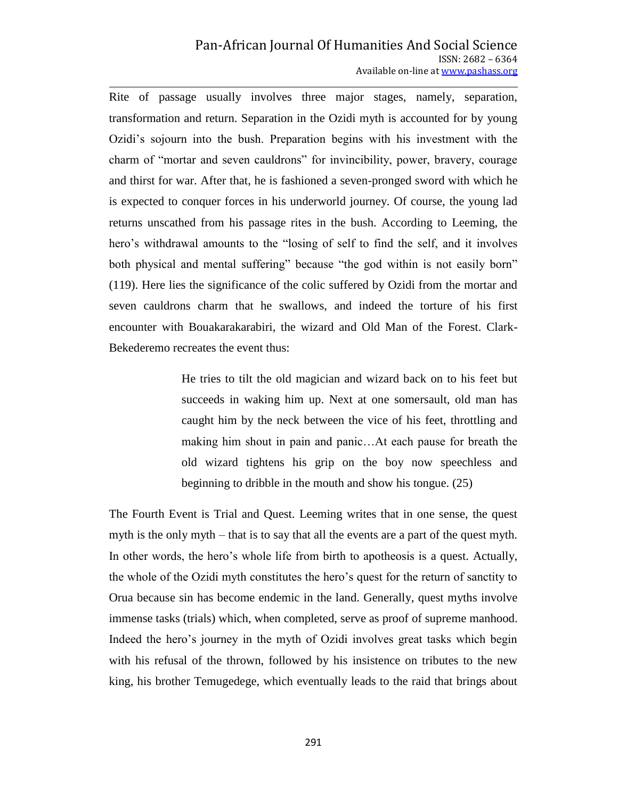### Pan-African Journal Of Humanities And Social Science ISSN: 2682 – 6364 Available on-line at www.pashass.org

Rite of passage usually involves three major stages, namely, separation, transformation and return. Separation in the Ozidi myth is accounted for by young Ozidi's sojourn into the bush. Preparation begins with his investment with the charm of "mortar and seven cauldrons" for invincibility, power, bravery, courage and thirst for war. After that, he is fashioned a seven-pronged sword with which he is expected to conquer forces in his underworld journey. Of course, the young lad returns unscathed from his passage rites in the bush. According to Leeming, the hero's withdrawal amounts to the "losing of self to find the self, and it involves both physical and mental suffering" because "the god within is not easily born" (119). Here lies the significance of the colic suffered by Ozidi from the mortar and seven cauldrons charm that he swallows, and indeed the torture of his first encounter with Bouakarakarabiri, the wizard and Old Man of the Forest. Clark-Bekederemo recreates the event thus:

> He tries to tilt the old magician and wizard back on to his feet but succeeds in waking him up. Next at one somersault, old man has caught him by the neck between the vice of his feet, throttling and making him shout in pain and panic…At each pause for breath the old wizard tightens his grip on the boy now speechless and beginning to dribble in the mouth and show his tongue. (25)

The Fourth Event is Trial and Quest. Leeming writes that in one sense, the quest myth is the only myth – that is to say that all the events are a part of the quest myth. In other words, the hero's whole life from birth to apotheosis is a quest. Actually, the whole of the Ozidi myth constitutes the hero's quest for the return of sanctity to Orua because sin has become endemic in the land. Generally, quest myths involve immense tasks (trials) which, when completed, serve as proof of supreme manhood. Indeed the hero's journey in the myth of Ozidi involves great tasks which begin with his refusal of the thrown, followed by his insistence on tributes to the new king, his brother Temugedege, which eventually leads to the raid that brings about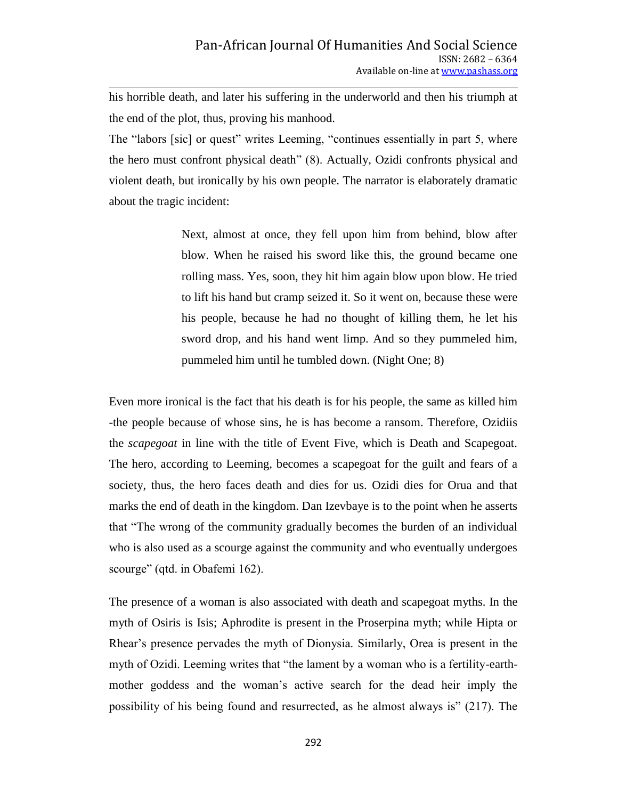his horrible death, and later his suffering in the underworld and then his triumph at the end of the plot, thus, proving his manhood.

The "labors [sic] or quest" writes Leeming, "continues essentially in part 5, where the hero must confront physical death" (8). Actually, Ozidi confronts physical and violent death, but ironically by his own people. The narrator is elaborately dramatic about the tragic incident:

> Next, almost at once, they fell upon him from behind, blow after blow. When he raised his sword like this, the ground became one rolling mass. Yes, soon, they hit him again blow upon blow. He tried to lift his hand but cramp seized it. So it went on, because these were his people, because he had no thought of killing them, he let his sword drop, and his hand went limp. And so they pummeled him, pummeled him until he tumbled down. (Night One; 8)

Even more ironical is the fact that his death is for his people, the same as killed him -the people because of whose sins, he is has become a ransom. Therefore, Ozidiis the *scapegoat* in line with the title of Event Five, which is Death and Scapegoat. The hero, according to Leeming, becomes a scapegoat for the guilt and fears of a society, thus, the hero faces death and dies for us. Ozidi dies for Orua and that marks the end of death in the kingdom. Dan Izevbaye is to the point when he asserts that "The wrong of the community gradually becomes the burden of an individual who is also used as a scourge against the community and who eventually undergoes scourge" (qtd. in Obafemi 162).

The presence of a woman is also associated with death and scapegoat myths. In the myth of Osiris is Isis; Aphrodite is present in the Proserpina myth; while Hipta or Rhear's presence pervades the myth of Dionysia. Similarly, Orea is present in the myth of Ozidi. Leeming writes that "the lament by a woman who is a fertility-earthmother goddess and the woman's active search for the dead heir imply the possibility of his being found and resurrected, as he almost always is" (217). The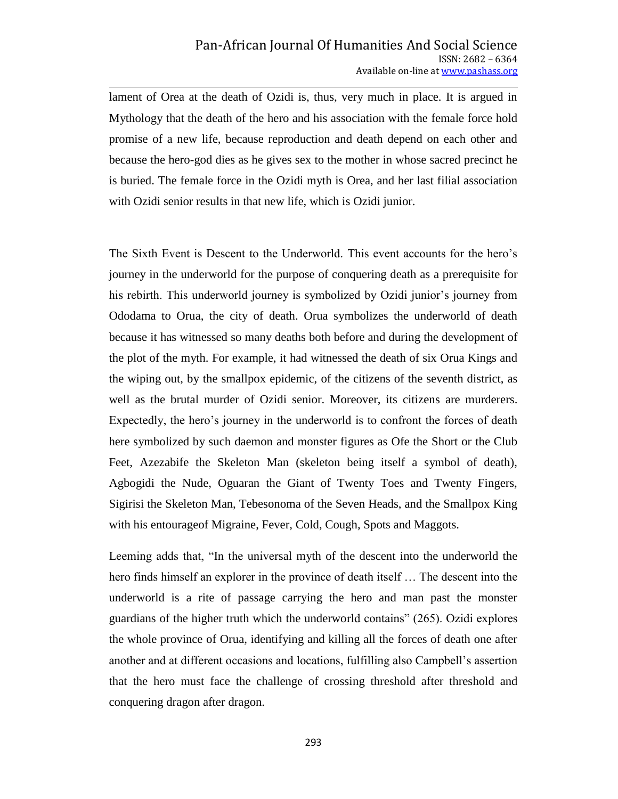lament of Orea at the death of Ozidi is, thus, very much in place. It is argued in Mythology that the death of the hero and his association with the female force hold promise of a new life, because reproduction and death depend on each other and because the hero-god dies as he gives sex to the mother in whose sacred precinct he is buried. The female force in the Ozidi myth is Orea, and her last filial association with Ozidi senior results in that new life, which is Ozidi junior.

The Sixth Event is Descent to the Underworld. This event accounts for the hero's journey in the underworld for the purpose of conquering death as a prerequisite for his rebirth. This underworld journey is symbolized by Ozidi junior's journey from Ododama to Orua, the city of death. Orua symbolizes the underworld of death because it has witnessed so many deaths both before and during the development of the plot of the myth. For example, it had witnessed the death of six Orua Kings and the wiping out, by the smallpox epidemic, of the citizens of the seventh district, as well as the brutal murder of Ozidi senior. Moreover, its citizens are murderers. Expectedly, the hero's journey in the underworld is to confront the forces of death here symbolized by such daemon and monster figures as Ofe the Short or the Club Feet, Azezabife the Skeleton Man (skeleton being itself a symbol of death), Agbogidi the Nude, Oguaran the Giant of Twenty Toes and Twenty Fingers, Sigirisi the Skeleton Man, Tebesonoma of the Seven Heads, and the Smallpox King with his entourageof Migraine, Fever, Cold, Cough, Spots and Maggots.

Leeming adds that, "In the universal myth of the descent into the underworld the hero finds himself an explorer in the province of death itself … The descent into the underworld is a rite of passage carrying the hero and man past the monster guardians of the higher truth which the underworld contains" (265). Ozidi explores the whole province of Orua, identifying and killing all the forces of death one after another and at different occasions and locations, fulfilling also Campbell's assertion that the hero must face the challenge of crossing threshold after threshold and conquering dragon after dragon.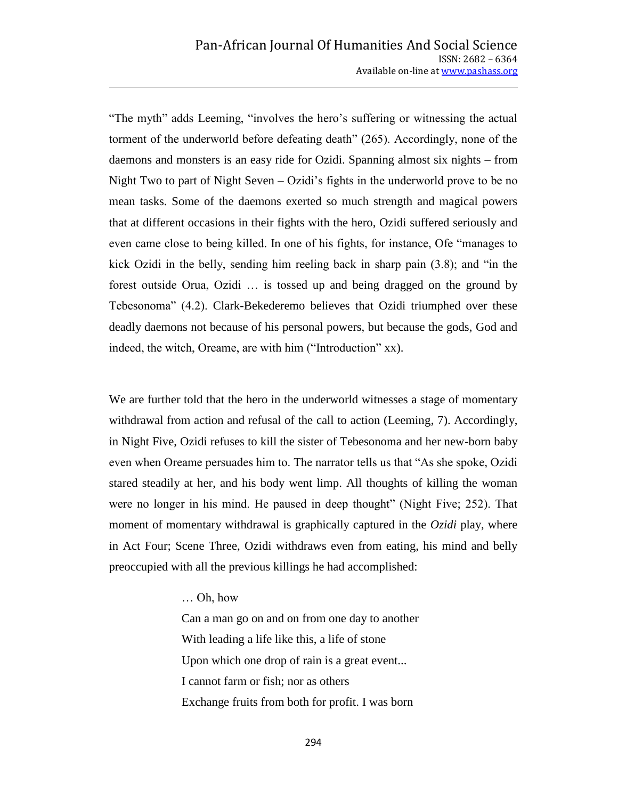"The myth" adds Leeming, "involves the hero's suffering or witnessing the actual torment of the underworld before defeating death" (265). Accordingly, none of the daemons and monsters is an easy ride for Ozidi. Spanning almost six nights – from Night Two to part of Night Seven – Ozidi's fights in the underworld prove to be no mean tasks. Some of the daemons exerted so much strength and magical powers that at different occasions in their fights with the hero, Ozidi suffered seriously and even came close to being killed. In one of his fights, for instance, Ofe "manages to kick Ozidi in the belly, sending him reeling back in sharp pain  $(3.8)$ ; and "in the forest outside Orua, Ozidi … is tossed up and being dragged on the ground by Tebesonoma" (4.2). Clark-Bekederemo believes that Ozidi triumphed over these deadly daemons not because of his personal powers, but because the gods, God and indeed, the witch, Oreame, are with him ("Introduction" xx).

We are further told that the hero in the underworld witnesses a stage of momentary withdrawal from action and refusal of the call to action (Leeming, 7). Accordingly, in Night Five, Ozidi refuses to kill the sister of Tebesonoma and her new-born baby even when Oreame persuades him to. The narrator tells us that "As she spoke, Ozidi stared steadily at her, and his body went limp. All thoughts of killing the woman were no longer in his mind. He paused in deep thought" (Night Five; 252). That moment of momentary withdrawal is graphically captured in the *Ozidi* play, where in Act Four; Scene Three, Ozidi withdraws even from eating, his mind and belly preoccupied with all the previous killings he had accomplished:

… Oh, how

Can a man go on and on from one day to another With leading a life like this, a life of stone Upon which one drop of rain is a great event... I cannot farm or fish; nor as others Exchange fruits from both for profit. I was born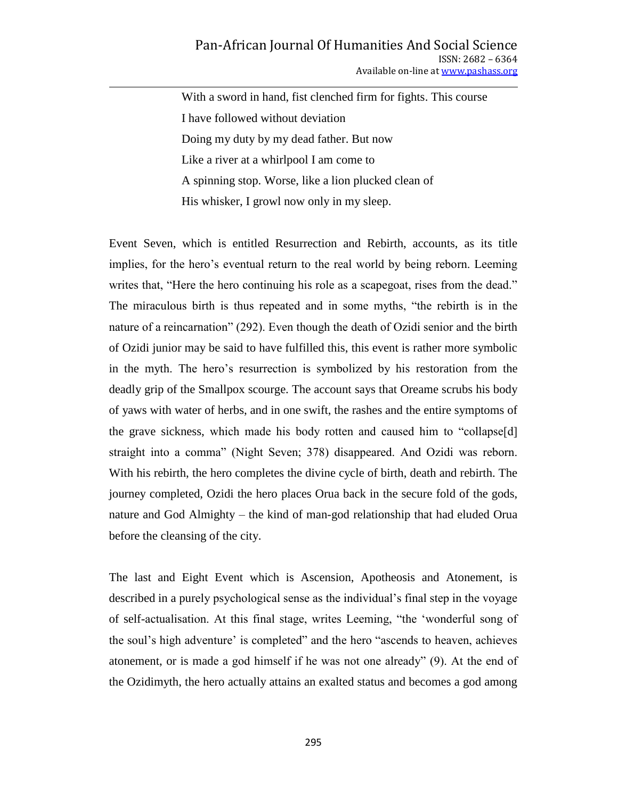With a sword in hand, fist clenched firm for fights. This course I have followed without deviation Doing my duty by my dead father. But now Like a river at a whirlpool I am come to A spinning stop. Worse, like a lion plucked clean of His whisker, I growl now only in my sleep.

Event Seven, which is entitled Resurrection and Rebirth, accounts, as its title implies, for the hero's eventual return to the real world by being reborn. Leeming writes that, "Here the hero continuing his role as a scapegoat, rises from the dead." The miraculous birth is thus repeated and in some myths, "the rebirth is in the nature of a reincarnation" (292). Even though the death of Ozidi senior and the birth of Ozidi junior may be said to have fulfilled this, this event is rather more symbolic in the myth. The hero's resurrection is symbolized by his restoration from the deadly grip of the Smallpox scourge. The account says that Oreame scrubs his body of yaws with water of herbs, and in one swift, the rashes and the entire symptoms of the grave sickness, which made his body rotten and caused him to "collapse[d] straight into a comma" (Night Seven; 378) disappeared. And Ozidi was reborn. With his rebirth, the hero completes the divine cycle of birth, death and rebirth. The journey completed, Ozidi the hero places Orua back in the secure fold of the gods, nature and God Almighty – the kind of man-god relationship that had eluded Orua before the cleansing of the city.

The last and Eight Event which is Ascension, Apotheosis and Atonement, is described in a purely psychological sense as the individual's final step in the voyage of self-actualisation. At this final stage, writes Leeming, "the 'wonderful song of the soul's high adventure' is completed" and the hero "ascends to heaven, achieves atonement, or is made a god himself if he was not one already" (9). At the end of the Ozidimyth, the hero actually attains an exalted status and becomes a god among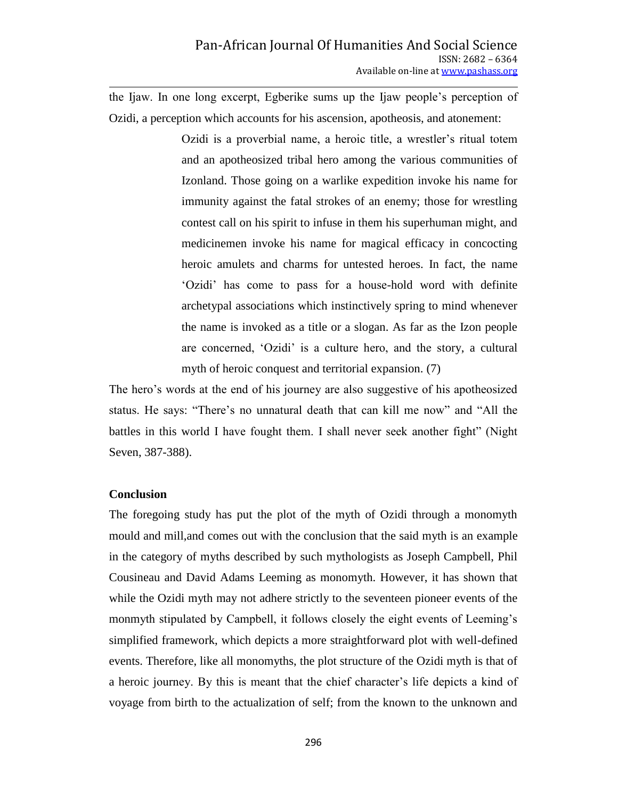the Ijaw. In one long excerpt, Egberike sums up the Ijaw people's perception of Ozidi, a perception which accounts for his ascension, apotheosis, and atonement:

> Ozidi is a proverbial name, a heroic title, a wrestler's ritual totem and an apotheosized tribal hero among the various communities of Izonland. Those going on a warlike expedition invoke his name for immunity against the fatal strokes of an enemy; those for wrestling contest call on his spirit to infuse in them his superhuman might, and medicinemen invoke his name for magical efficacy in concocting heroic amulets and charms for untested heroes. In fact, the name ‗Ozidi' has come to pass for a house-hold word with definite archetypal associations which instinctively spring to mind whenever the name is invoked as a title or a slogan. As far as the Izon people are concerned, ‗Ozidi' is a culture hero, and the story, a cultural myth of heroic conquest and territorial expansion. (7)

The hero's words at the end of his journey are also suggestive of his apotheosized status. He says: "There's no unnatural death that can kill me now" and "All the battles in this world I have fought them. I shall never seek another fight" (Night Seven, 387-388).

## **Conclusion**

The foregoing study has put the plot of the myth of Ozidi through a monomyth mould and mill,and comes out with the conclusion that the said myth is an example in the category of myths described by such mythologists as Joseph Campbell, Phil Cousineau and David Adams Leeming as monomyth. However, it has shown that while the Ozidi myth may not adhere strictly to the seventeen pioneer events of the monmyth stipulated by Campbell, it follows closely the eight events of Leeming's simplified framework, which depicts a more straightforward plot with well-defined events. Therefore, like all monomyths, the plot structure of the Ozidi myth is that of a heroic journey. By this is meant that the chief character's life depicts a kind of voyage from birth to the actualization of self; from the known to the unknown and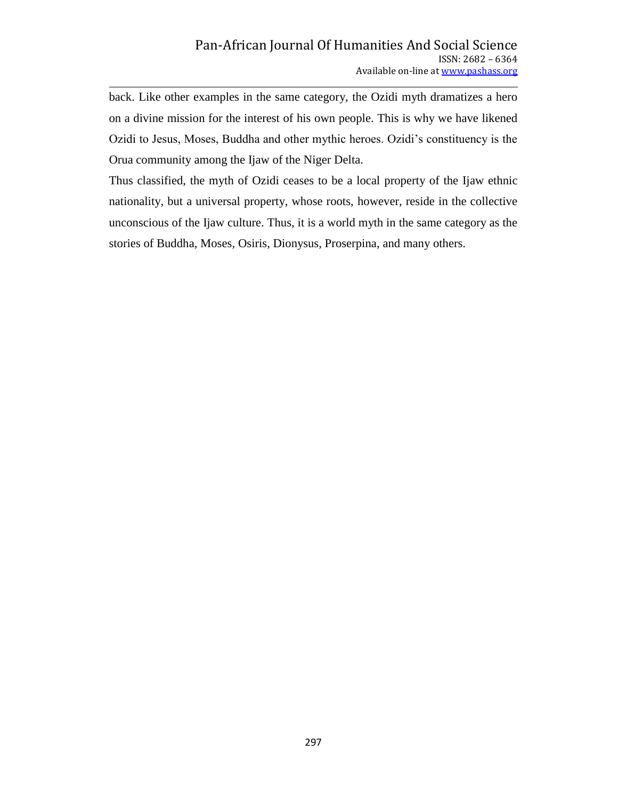back. Like other examples in the same category, the Ozidi myth dramatizes a hero on a divine mission for the interest of his own people. This is why we have likened Ozidi to Jesus, Moses, Buddha and other mythic heroes. Ozidi's constituency is the Orua community among the Ijaw of the Niger Delta.

Thus classified, the myth of Ozidi ceases to be a local property of the Ijaw ethnic nationality, but a universal property, whose roots, however, reside in the collective unconscious of the Ijaw culture. Thus, it is a world myth in the same category as the stories of Buddha, Moses, Osiris, Dionysus, Proserpina, and many others.